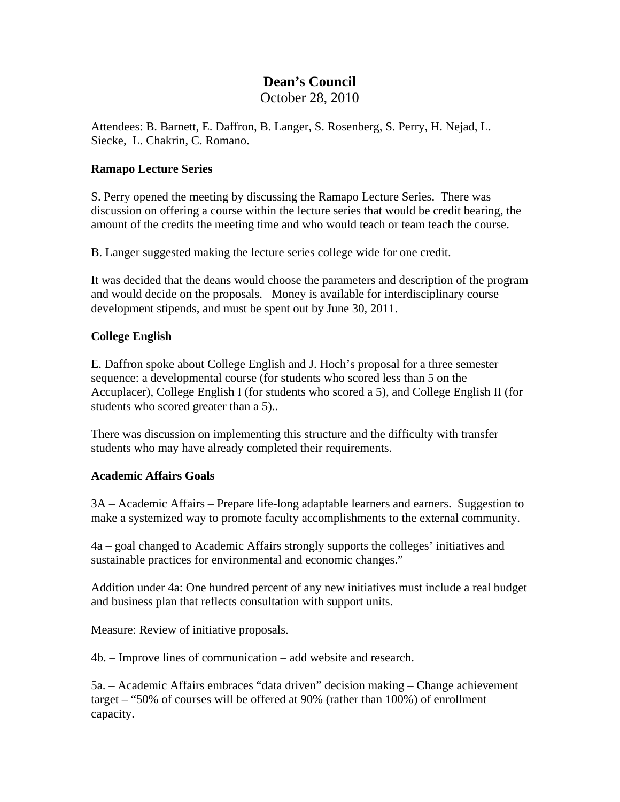## **Dean's Council**

October 28, 2010

Attendees: B. Barnett, E. Daffron, B. Langer, S. Rosenberg, S. Perry, H. Nejad, L. Siecke, L. Chakrin, C. Romano.

## **Ramapo Lecture Series**

S. Perry opened the meeting by discussing the Ramapo Lecture Series. There was discussion on offering a course within the lecture series that would be credit bearing, the amount of the credits the meeting time and who would teach or team teach the course.

B. Langer suggested making the lecture series college wide for one credit.

It was decided that the deans would choose the parameters and description of the program and would decide on the proposals. Money is available for interdisciplinary course development stipends, and must be spent out by June 30, 2011.

## **College English**

E. Daffron spoke about College English and J. Hoch's proposal for a three semester sequence: a developmental course (for students who scored less than 5 on the Accuplacer), College English I (for students who scored a 5), and College English II (for students who scored greater than a 5)..

There was discussion on implementing this structure and the difficulty with transfer students who may have already completed their requirements.

## **Academic Affairs Goals**

3A – Academic Affairs – Prepare life-long adaptable learners and earners. Suggestion to make a systemized way to promote faculty accomplishments to the external community.

4a – goal changed to Academic Affairs strongly supports the colleges' initiatives and sustainable practices for environmental and economic changes."

Addition under 4a: One hundred percent of any new initiatives must include a real budget and business plan that reflects consultation with support units.

Measure: Review of initiative proposals.

4b. – Improve lines of communication – add website and research.

5a. – Academic Affairs embraces "data driven" decision making – Change achievement target – "50% of courses will be offered at 90% (rather than 100%) of enrollment capacity.